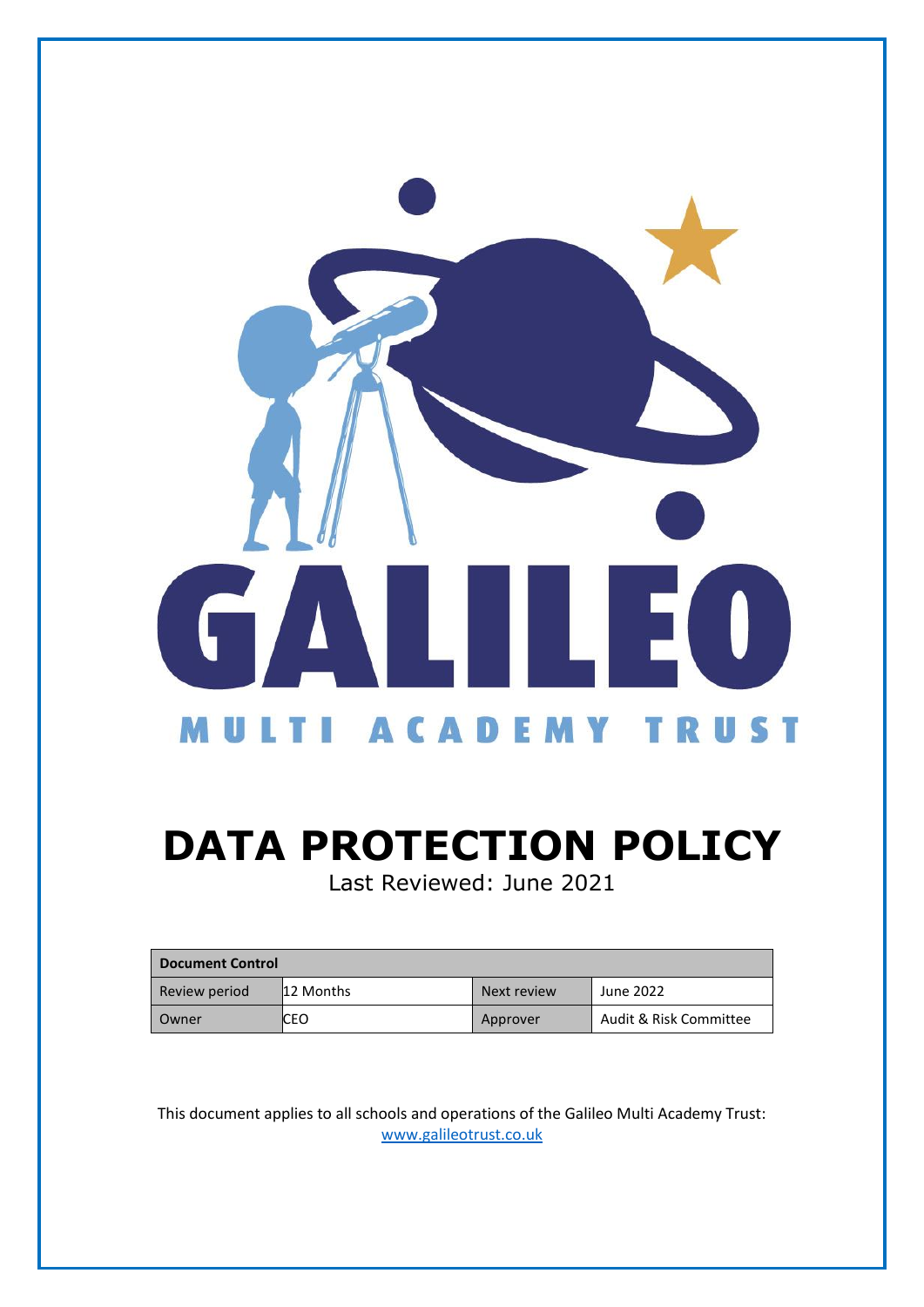

# **DATA PROTECTION POLICY** Last Reviewed: June 2021

| <b>Document Control</b> |           |             |                        |
|-------------------------|-----------|-------------|------------------------|
| Review period           | 12 Months | Next review | June 2022              |
| l Owner                 | CEO       | Approver    | Audit & Risk Committee |

This document applies to all schools and operations of the Galileo Multi Academy Trust: [www.galileotrust.co.uk](http://www.galileotrust.co.uk/)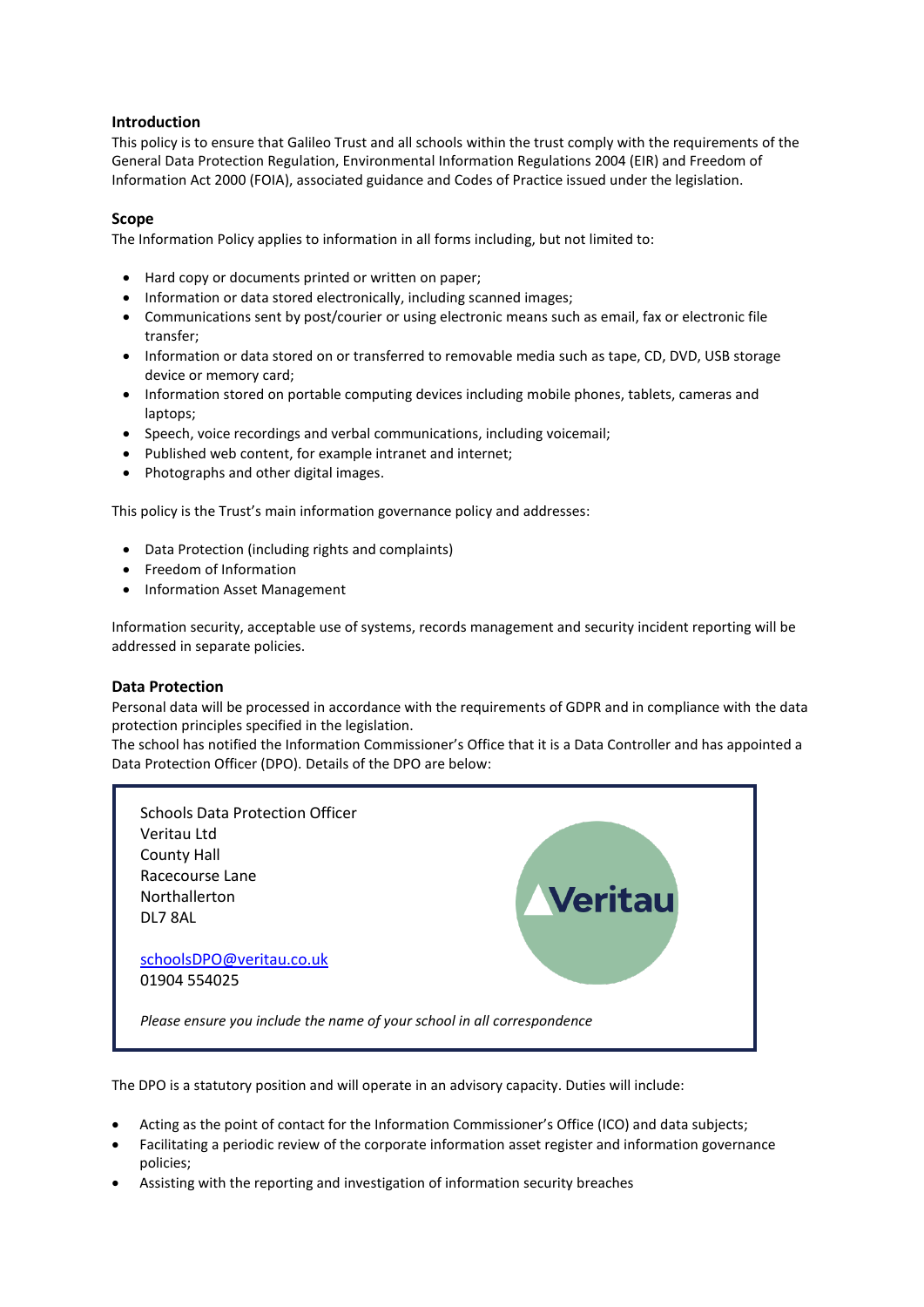# **Introduction**

This policy is to ensure that Galileo Trust and all schools within the trust comply with the requirements of the General Data Protection Regulation, Environmental Information Regulations 2004 (EIR) and Freedom of Information Act 2000 (FOIA), associated guidance and Codes of Practice issued under the legislation.

#### **Scope**

The Information Policy applies to information in all forms including, but not limited to:

- Hard copy or documents printed or written on paper;
- Information or data stored electronically, including scanned images;
- Communications sent by post/courier or using electronic means such as email, fax or electronic file transfer;
- Information or data stored on or transferred to removable media such as tape, CD, DVD, USB storage device or memory card;
- Information stored on portable computing devices including mobile phones, tablets, cameras and laptops;
- Speech, voice recordings and verbal communications, including voicemail;
- Published web content, for example intranet and internet;
- Photographs and other digital images.

This policy is the Trust's main information governance policy and addresses:

- Data Protection (including rights and complaints)
- Freedom of Information
- Information Asset Management

Information security, acceptable use of systems, records management and security incident reporting will be addressed in separate policies.

#### **Data Protection**

Personal data will be processed in accordance with the requirements of GDPR and in compliance with the data protection principles specified in the legislation.

The school has notified the Information Commissioner's Office that it is a Data Controller and has appointed a Data Protection Officer (DPO). Details of the DPO are below:



The DPO is a statutory position and will operate in an advisory capacity. Duties will include:

- Acting as the point of contact for the Information Commissioner's Office (ICO) and data subjects;
- Facilitating a periodic review of the corporate information asset register and information governance policies;
- Assisting with the reporting and investigation of information security breaches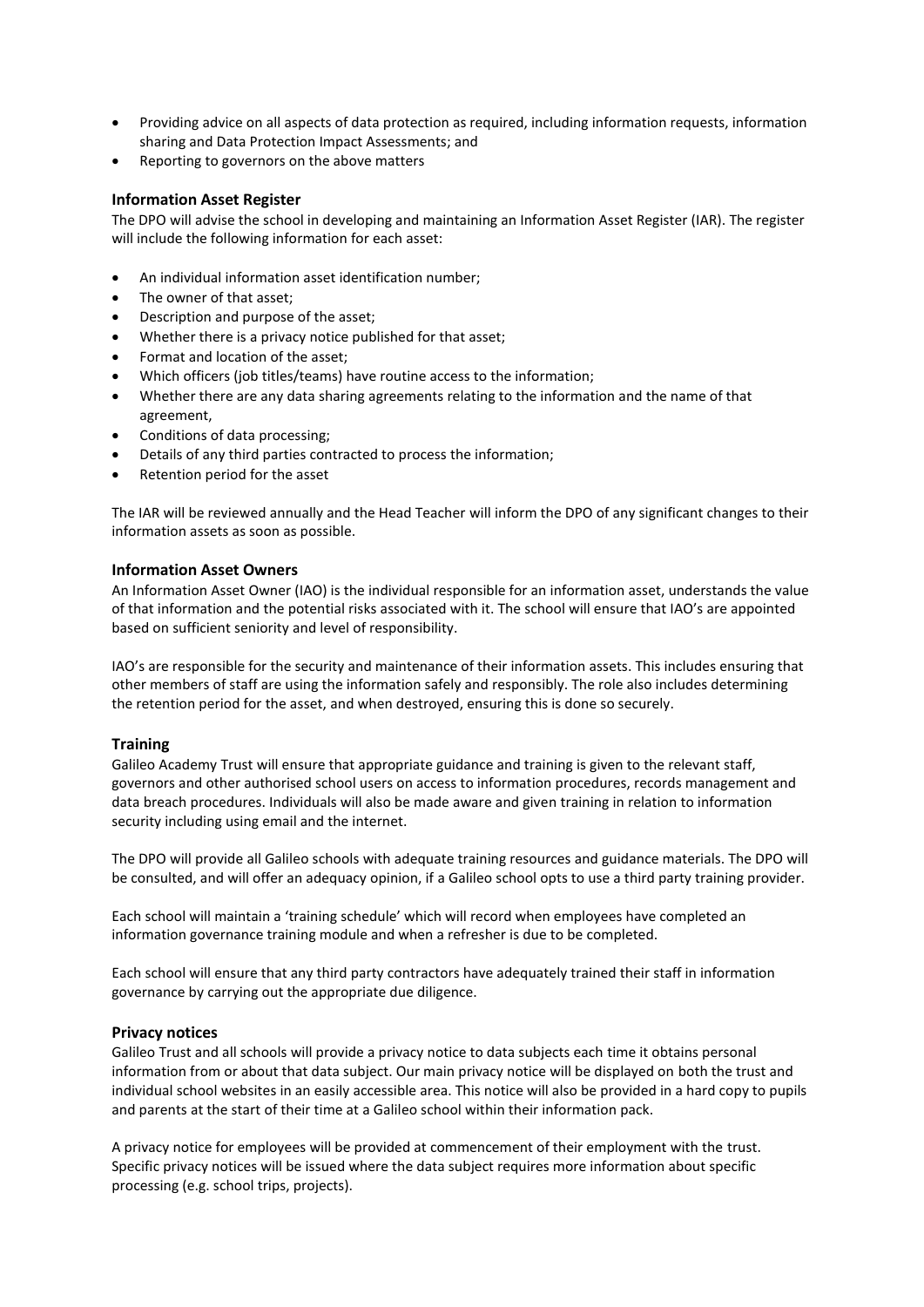- Providing advice on all aspects of data protection as required, including information requests, information sharing and Data Protection Impact Assessments; and
- Reporting to governors on the above matters

## **Information Asset Register**

The DPO will advise the school in developing and maintaining an Information Asset Register (IAR). The register will include the following information for each asset:

- An individual information asset identification number;
- The owner of that asset;
- Description and purpose of the asset;
- Whether there is a privacy notice published for that asset;
- Format and location of the asset;
- Which officers (job titles/teams) have routine access to the information;
- Whether there are any data sharing agreements relating to the information and the name of that agreement,
- Conditions of data processing;
- Details of any third parties contracted to process the information;
- Retention period for the asset

The IAR will be reviewed annually and the Head Teacher will inform the DPO of any significant changes to their information assets as soon as possible.

#### **Information Asset Owners**

An Information Asset Owner (IAO) is the individual responsible for an information asset, understands the value of that information and the potential risks associated with it. The school will ensure that IAO's are appointed based on sufficient seniority and level of responsibility.

IAO's are responsible for the security and maintenance of their information assets. This includes ensuring that other members of staff are using the information safely and responsibly. The role also includes determining the retention period for the asset, and when destroyed, ensuring this is done so securely.

#### **Training**

Galileo Academy Trust will ensure that appropriate guidance and training is given to the relevant staff, governors and other authorised school users on access to information procedures, records management and data breach procedures. Individuals will also be made aware and given training in relation to information security including using email and the internet.

The DPO will provide all Galileo schools with adequate training resources and guidance materials. The DPO will be consulted, and will offer an adequacy opinion, if a Galileo school opts to use a third party training provider.

Each school will maintain a 'training schedule' which will record when employees have completed an information governance training module and when a refresher is due to be completed.

Each school will ensure that any third party contractors have adequately trained their staff in information governance by carrying out the appropriate due diligence.

#### **Privacy notices**

Galileo Trust and all schools will provide a privacy notice to data subjects each time it obtains personal information from or about that data subject. Our main privacy notice will be displayed on both the trust and individual school websites in an easily accessible area. This notice will also be provided in a hard copy to pupils and parents at the start of their time at a Galileo school within their information pack.

A privacy notice for employees will be provided at commencement of their employment with the trust. Specific privacy notices will be issued where the data subject requires more information about specific processing (e.g. school trips, projects).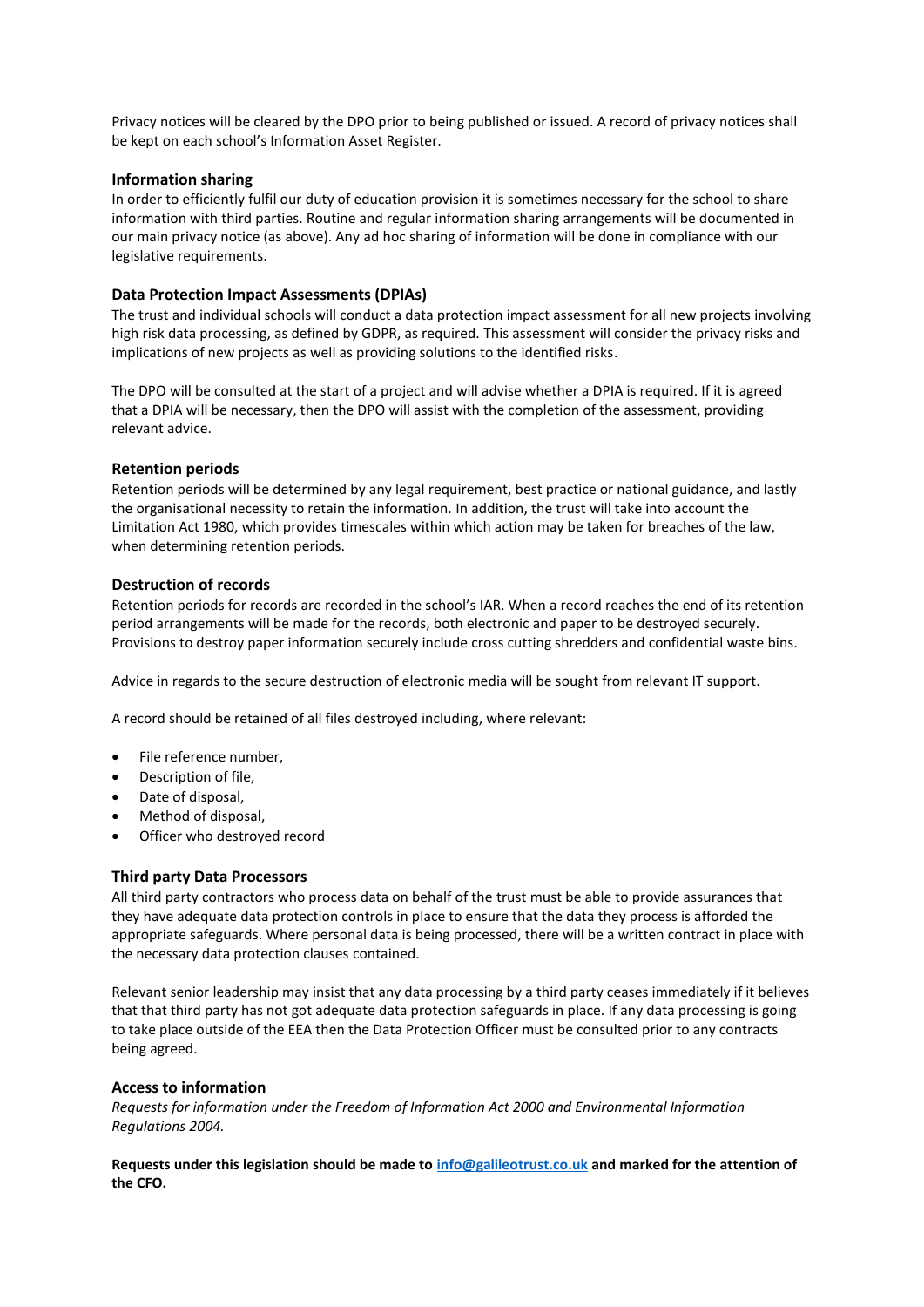Privacy notices will be cleared by the DPO prior to being published or issued. A record of privacy notices shall be kept on each school's Information Asset Register.

## **Information sharing**

In order to efficiently fulfil our duty of education provision it is sometimes necessary for the school to share information with third parties. Routine and regular information sharing arrangements will be documented in our main privacy notice (as above). Any ad hoc sharing of information will be done in compliance with our legislative requirements.

# **Data Protection Impact Assessments (DPIAs)**

The trust and individual schools will conduct a data protection impact assessment for all new projects involving high risk data processing, as defined by GDPR, as required. This assessment will consider the privacy risks and implications of new projects as well as providing solutions to the identified risks.

The DPO will be consulted at the start of a project and will advise whether a DPIA is required. If it is agreed that a DPIA will be necessary, then the DPO will assist with the completion of the assessment, providing relevant advice.

## **Retention periods**

Retention periods will be determined by any legal requirement, best practice or national guidance, and lastly the organisational necessity to retain the information. In addition, the trust will take into account the Limitation Act 1980, which provides timescales within which action may be taken for breaches of the law, when determining retention periods.

## **Destruction of records**

Retention periods for records are recorded in the school's IAR. When a record reaches the end of its retention period arrangements will be made for the records, both electronic and paper to be destroyed securely. Provisions to destroy paper information securely include cross cutting shredders and confidential waste bins.

Advice in regards to the secure destruction of electronic media will be sought from relevant IT support.

A record should be retained of all files destroyed including, where relevant:

- File reference number,
- Description of file,
- Date of disposal,
- Method of disposal,
- Officer who destroyed record

## **Third party Data Processors**

All third party contractors who process data on behalf of the trust must be able to provide assurances that they have adequate data protection controls in place to ensure that the data they process is afforded the appropriate safeguards. Where personal data is being processed, there will be a written contract in place with the necessary data protection clauses contained.

Relevant senior leadership may insist that any data processing by a third party ceases immediately if it believes that that third party has not got adequate data protection safeguards in place. If any data processing is going to take place outside of the EEA then the Data Protection Officer must be consulted prior to any contracts being agreed.

## **Access to information**

*Requests for information under the Freedom of Information Act 2000 and Environmental Information Regulations 2004.*

**Requests under this legislation should be made to [info@galileotrust.co.uk](mailto:info@galileotrust.co.uk) and marked for the attention of the CFO.**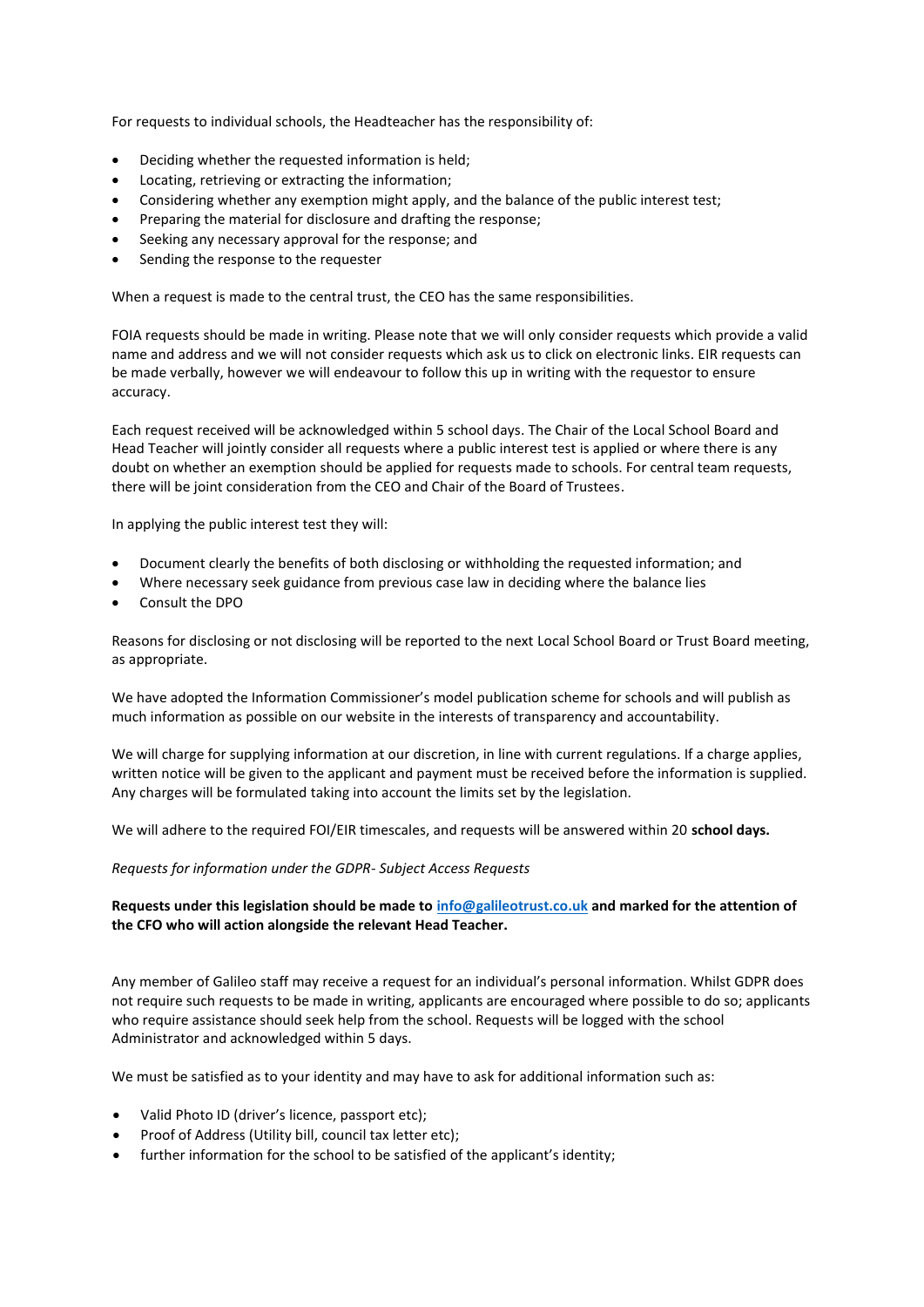For requests to individual schools, the Headteacher has the responsibility of:

- Deciding whether the requested information is held;
- Locating, retrieving or extracting the information;
- Considering whether any exemption might apply, and the balance of the public interest test;
- Preparing the material for disclosure and drafting the response;
- Seeking any necessary approval for the response; and
- Sending the response to the requester

When a request is made to the central trust, the CEO has the same responsibilities.

FOIA requests should be made in writing. Please note that we will only consider requests which provide a valid name and address and we will not consider requests which ask us to click on electronic links. EIR requests can be made verbally, however we will endeavour to follow this up in writing with the requestor to ensure accuracy.

Each request received will be acknowledged within 5 school days. The Chair of the Local School Board and Head Teacher will jointly consider all requests where a public interest test is applied or where there is any doubt on whether an exemption should be applied for requests made to schools. For central team requests, there will be joint consideration from the CEO and Chair of the Board of Trustees.

In applying the public interest test they will:

- Document clearly the benefits of both disclosing or withholding the requested information; and
- Where necessary seek guidance from previous case law in deciding where the balance lies
- Consult the DPO

Reasons for disclosing or not disclosing will be reported to the next Local School Board or Trust Board meeting, as appropriate.

We have adopted the Information Commissioner's model publication scheme for schools and will publish as much information as possible on our website in the interests of transparency and accountability.

We will charge for supplying information at our discretion, in line with current regulations. If a charge applies, written notice will be given to the applicant and payment must be received before the information is supplied. Any charges will be formulated taking into account the limits set by the legislation.

We will adhere to the required FOI/EIR timescales, and requests will be answered within 20 **school days.**

#### *Requests for information under the GDPR- Subject Access Requests*

## **Requests under this legislation should be made to [info@galileotrust.co.uk](mailto:info@galileotrust.co.uk) and marked for the attention of the CFO who will action alongside the relevant Head Teacher.**

Any member of Galileo staff may receive a request for an individual's personal information. Whilst GDPR does not require such requests to be made in writing, applicants are encouraged where possible to do so; applicants who require assistance should seek help from the school. Requests will be logged with the school Administrator and acknowledged within 5 days.

We must be satisfied as to your identity and may have to ask for additional information such as:

- Valid Photo ID (driver's licence, passport etc);
- Proof of Address (Utility bill, council tax letter etc);
- further information for the school to be satisfied of the applicant's identity;